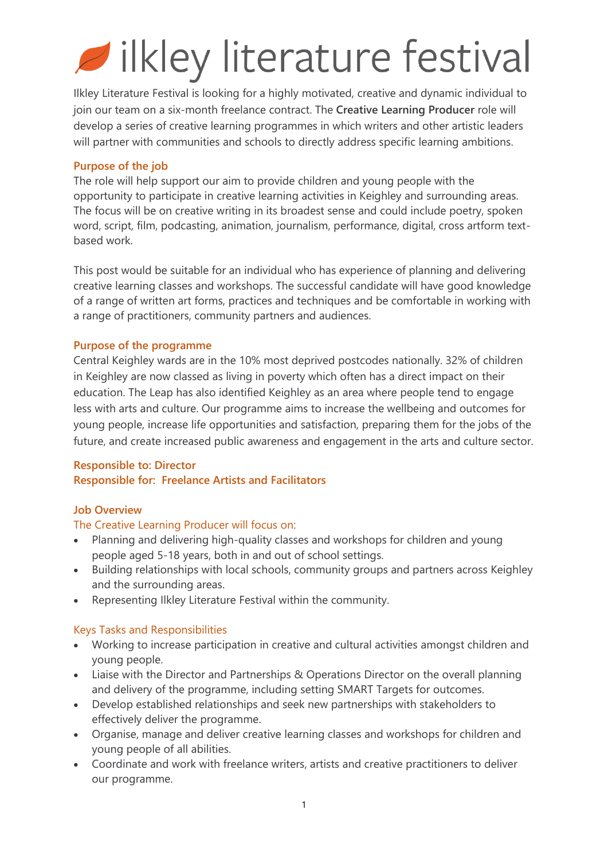# ilkley literature festival

Ilkley Literature Festival is looking for a highly motivated, creative and dynamic individual to join our team on a six-month freelance contract. The **Creative Learning Producer** role will develop a series of creative learning programmes in which writers and other artistic leaders will partner with communities and schools to directly address specific learning ambitions.

#### **Purpose of the job**

The role will help support our aim to provide children and young people with the opportunity to participate in creative learning activities in Keighley and surrounding areas. The focus will be on creative writing in its broadest sense and could include poetry, spoken word, script, film, podcasting, animation, journalism, performance, digital, cross artform textbased work.

This post would be suitable for an individual who has experience of planning and delivering creative learning classes and workshops. The successful candidate will have good knowledge of a range of written art forms, practices and techniques and be comfortable in working with a range of practitioners, community partners and audiences.

### **Purpose of the programme**

Central Keighley wards are in the 10% most deprived postcodes nationally. 32% of children in Keighley are now classed as living in poverty which often has a direct impact on their education. The Leap has also identified Keighley as an area where people tend to engage less with arts and culture. Our programme aims to increase the wellbeing and outcomes for young people, increase life opportunities and satisfaction, preparing them for the jobs of the future, and create increased public awareness and engagement in the arts and culture sector.

# **Responsible to: Director**

#### **Responsible for: Freelance Artists and Facilitators**

# **Job Overview**

# The Creative Learning Producer will focus on:

- Planning and delivering high-quality classes and workshops for children and young people aged 5-18 years, both in and out of school settings.
- Building relationships with local schools, community groups and partners across Keighley and the surrounding areas.
- Representing Ilkley Literature Festival within the community.

# Keys Tasks and Responsibilities

- Working to increase participation in creative and cultural activities amongst children and young people.
- Liaise with the Director and Partnerships & Operations Director on the overall planning and delivery of the programme, including setting SMART Targets for outcomes.
- Develop established relationships and seek new partnerships with stakeholders to effectively deliver the programme.
- Organise, manage and deliver creative learning classes and workshops for children and young people of all abilities.
- Coordinate and work with freelance writers, artists and creative practitioners to deliver our programme.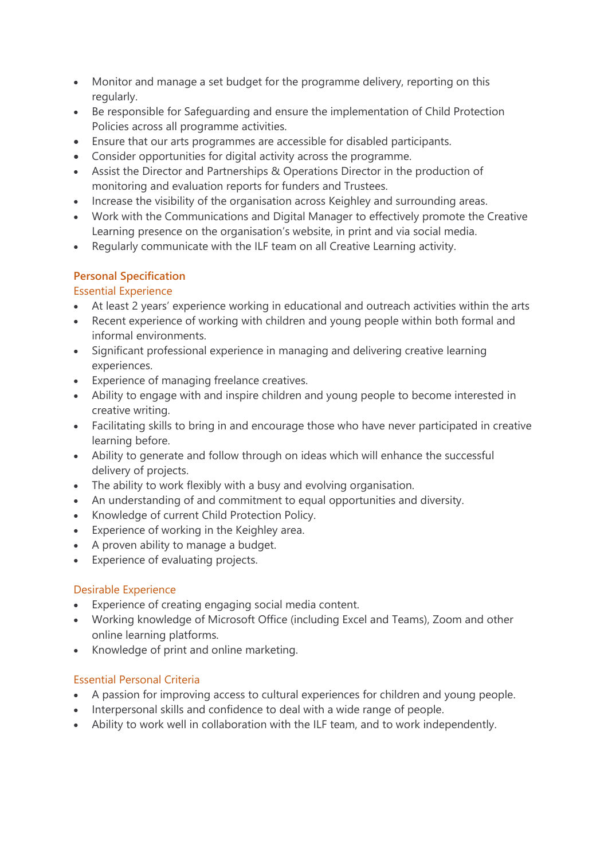- Monitor and manage a set budget for the programme delivery, reporting on this regularly.
- Be responsible for Safeguarding and ensure the implementation of Child Protection Policies across all programme activities.
- Ensure that our arts programmes are accessible for disabled participants.
- Consider opportunities for digital activity across the programme.
- Assist the Director and Partnerships & Operations Director in the production of monitoring and evaluation reports for funders and Trustees.
- Increase the visibility of the organisation across Keighley and surrounding areas.
- Work with the Communications and Digital Manager to effectively promote the Creative Learning presence on the organisation's website, in print and via social media.
- Regularly communicate with the ILF team on all Creative Learning activity.

# **Personal Specification**

### Essential Experience

- At least 2 years' experience working in educational and outreach activities within the arts
- Recent experience of working with children and young people within both formal and informal environments.
- Significant professional experience in managing and delivering creative learning experiences.
- Experience of managing freelance creatives.
- Ability to engage with and inspire children and young people to become interested in creative writing.
- Facilitating skills to bring in and encourage those who have never participated in creative learning before.
- Ability to generate and follow through on ideas which will enhance the successful delivery of projects.
- The ability to work flexibly with a busy and evolving organisation.
- An understanding of and commitment to equal opportunities and diversity.
- Knowledge of current Child Protection Policy.
- Experience of working in the Keighley area.
- A proven ability to manage a budget.
- Experience of evaluating projects.

#### Desirable Experience

- Experience of creating engaging social media content.
- Working knowledge of Microsoft Office (including Excel and Teams), Zoom and other online learning platforms.
- Knowledge of print and online marketing.

# Essential Personal Criteria

- A passion for improving access to cultural experiences for children and young people.
- Interpersonal skills and confidence to deal with a wide range of people.
- Ability to work well in collaboration with the ILF team, and to work independently.